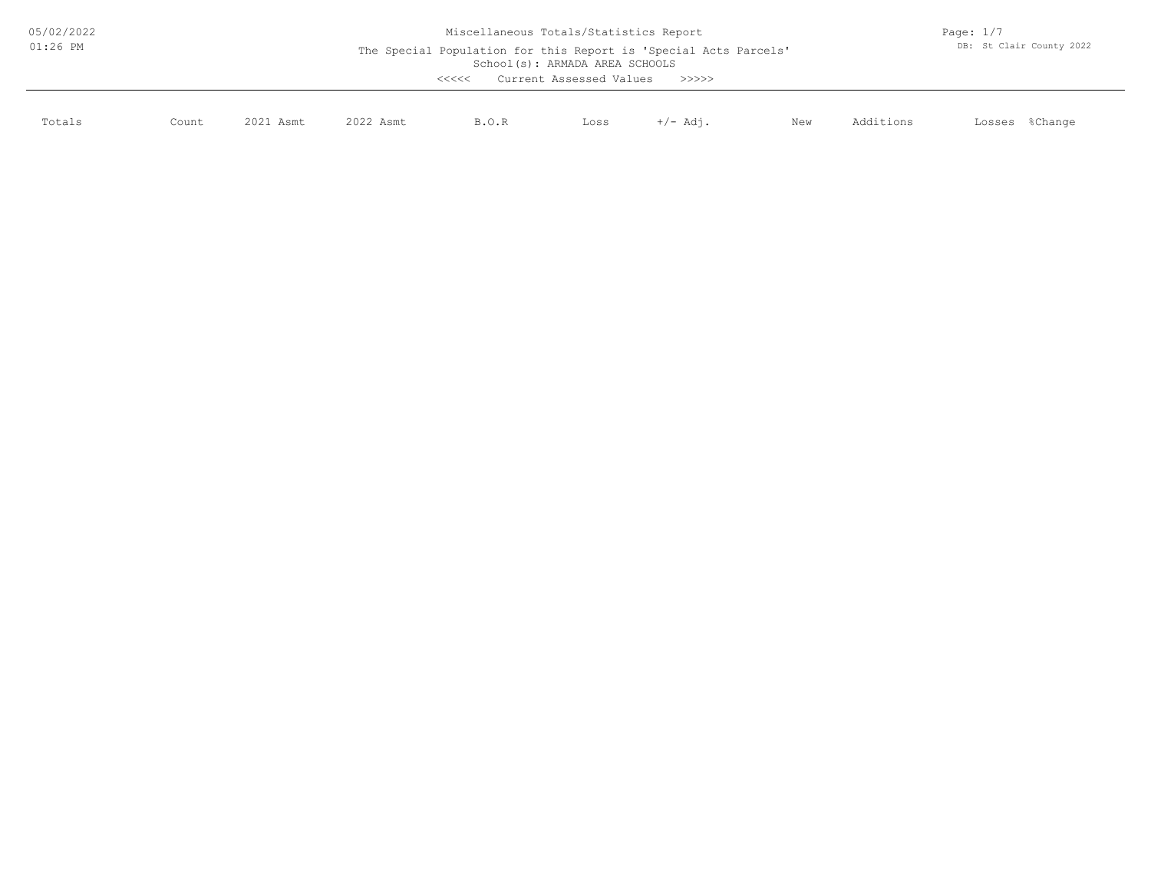| 05/02/2022 |       | Page: $1/7$<br>DB: St Clair County 2022                                                                                                        |           |       |      |          |     |           |                   |
|------------|-------|------------------------------------------------------------------------------------------------------------------------------------------------|-----------|-------|------|----------|-----|-----------|-------------------|
| $01:26$ PM |       | The Special Population for this Report is 'Special Acts Parcels'<br>School(s): ARMADA AREA SCHOOLS<br>Current Assessed Values<br><<<<<br>>>>>> |           |       |      |          |     |           |                   |
| Totals     | Count | 2021 Asmt                                                                                                                                      | 2022 Asmt | B.O.R | Loss | +/- Adi. | New | Additions | %Change<br>Losses |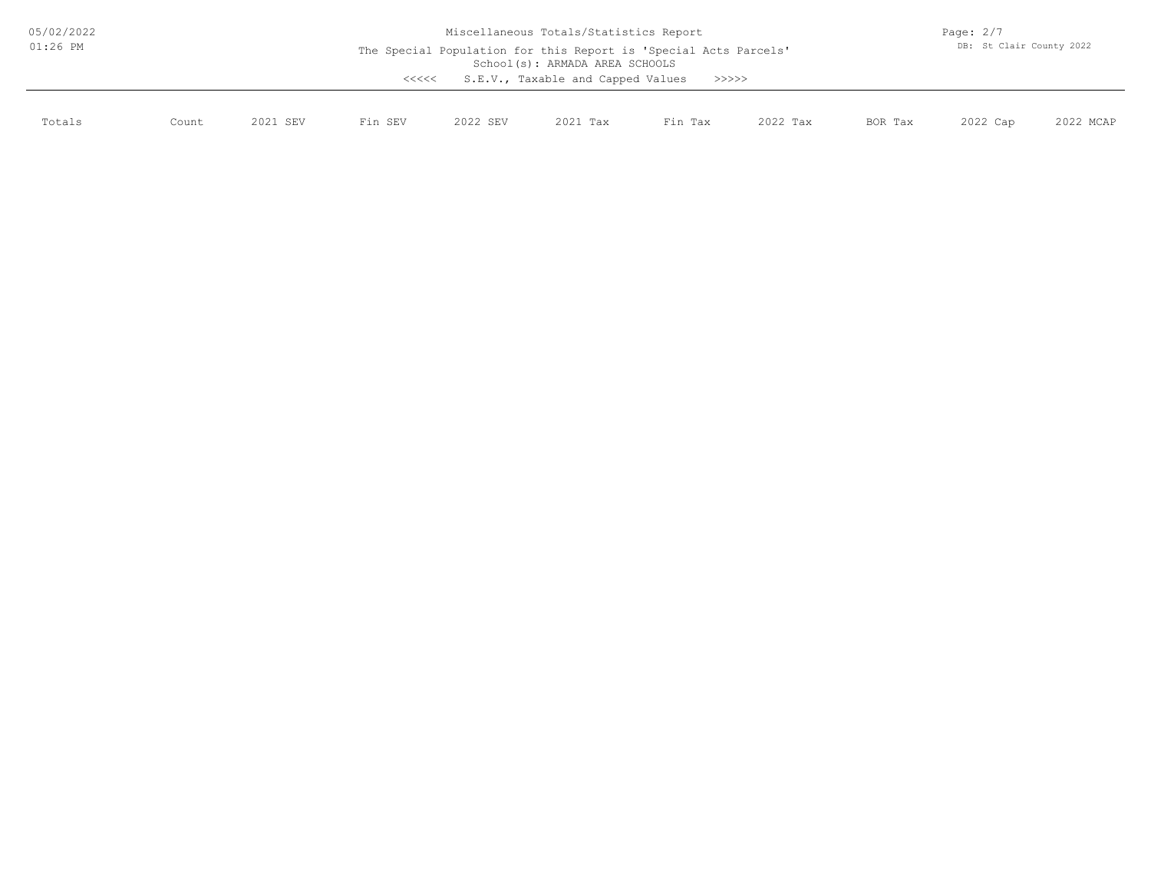| 05/02/2022 | Miscellaneous Totals/Statistics Report                                                                                                                    |          |         |          |          |         |          |         |                          | Page: $2/7$ |  |  |
|------------|-----------------------------------------------------------------------------------------------------------------------------------------------------------|----------|---------|----------|----------|---------|----------|---------|--------------------------|-------------|--|--|
| $01:26$ PM | The Special Population for this Report is 'Special Acts Parcels'<br>School(s): ARMADA AREA SCHOOLS<br>S.E.V., Taxable and Capped Values<br>>>>>>><br><<<< |          |         |          |          |         |          |         | DB: St Clair County 2022 |             |  |  |
| Totals     | Count                                                                                                                                                     | 2021 SEV | Fin SEV | 2022 SEV | 2021 Tax | Fin Tax | 2022 Tax | BOR Tax | 2022 Cap                 | 2022 MCAP   |  |  |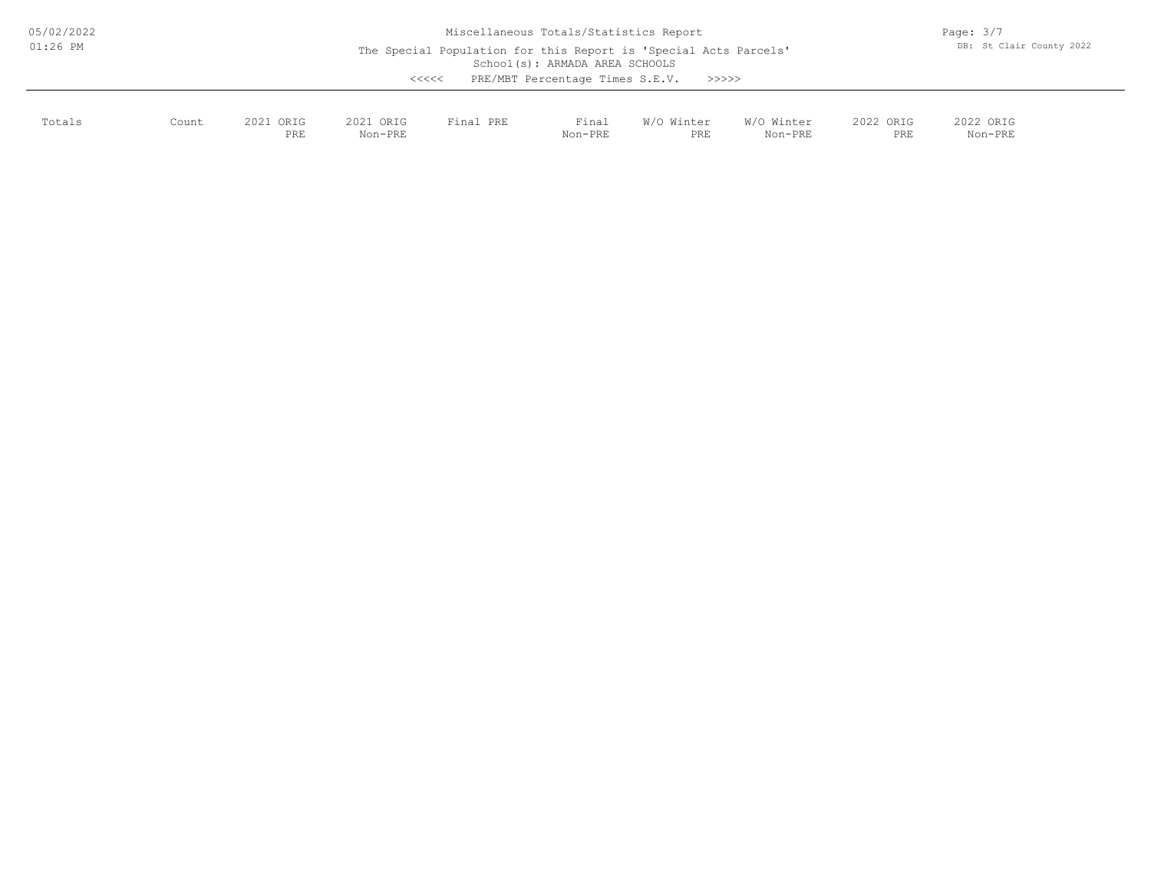| 05/02/2022<br>$01:26$ PM | Miscellaneous Totals/Statistics Report<br>The Special Population for this Report is 'Special Acts Parcels'<br>School(s): ARMADA AREA SCHOOLS<br>PRE/MBT Percentage Times S.E.V. |                  |                                                                                                       |           |                  |                             |                       |                  | Page: $3/7$<br>DB: St Clair County 2022 |  |
|--------------------------|---------------------------------------------------------------------------------------------------------------------------------------------------------------------------------|------------------|-------------------------------------------------------------------------------------------------------|-----------|------------------|-----------------------------|-----------------------|------------------|-----------------------------------------|--|
| Totals                   | Count                                                                                                                                                                           | 2021 ORIG<br>PRE | $\begin{array}{c} \begin{array}{c} < \  \  < \  \  < \end{array} \end{array}$<br>2021 ORIG<br>Non-PRE | Final PRE | Final<br>Non-PRE | >>>>>><br>W/O Winter<br>PRE | W/O Winter<br>Non-PRE | 2022 ORIG<br>PRE | 2022 ORIG<br>Non-PRE                    |  |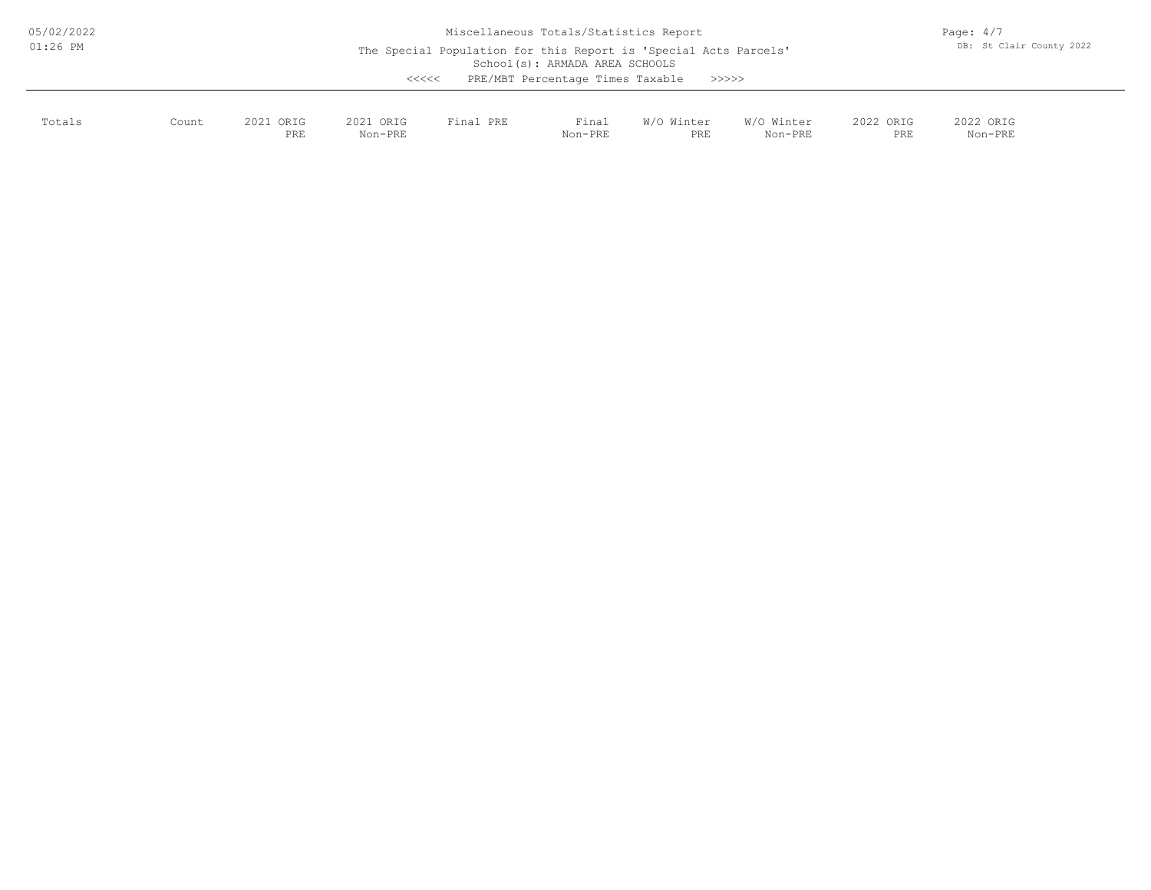| 05/02/2022 | Miscellaneous Totals/Statistics Report |                  |                      |                                                                  |                                                                    |                   |                       |                  |                          |  |
|------------|----------------------------------------|------------------|----------------------|------------------------------------------------------------------|--------------------------------------------------------------------|-------------------|-----------------------|------------------|--------------------------|--|
| $01:26$ PM |                                        |                  | <<<<                 | The Special Population for this Report is 'Special Acts Parcels' | School(s): ARMADA AREA SCHOOLS<br>PRE/MBT Percentage Times Taxable | >>>>>>            |                       |                  | DB: St Clair County 2022 |  |
| Totals     | Count                                  | 2021 ORIG<br>PRE | 2021 ORIG<br>Non-PRE | Final PRE                                                        | Final<br>Non-PRE                                                   | W/O Winter<br>PRE | W/O Winter<br>Non-PRE | 2022 ORIG<br>PRE | 2022 ORIG<br>Non-PRE     |  |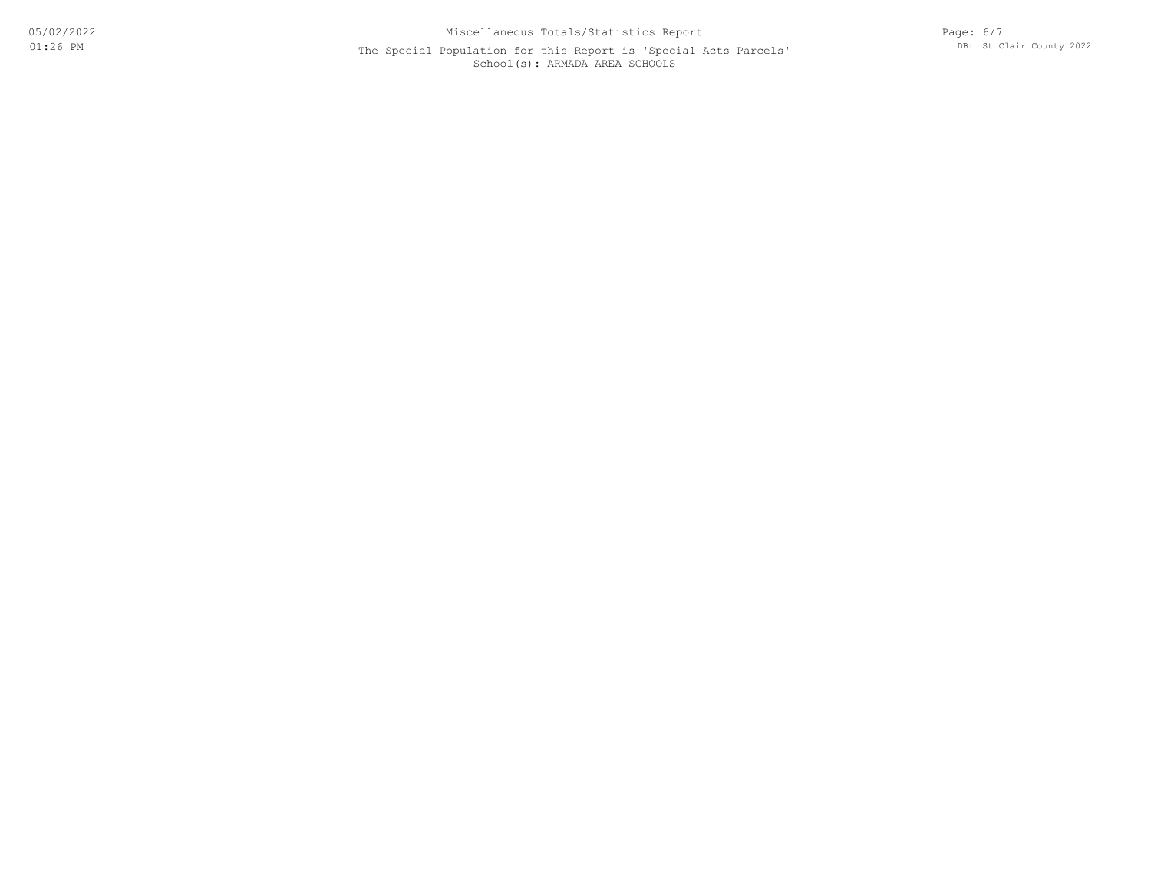## School(s): ARMADA AREA SCHOOLS The Special Population for this Report is 'Special Acts Parcels'